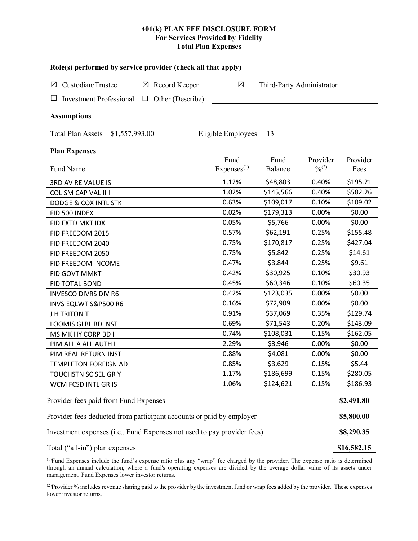## **401(k) PLAN FEE DISCLOSURE FORM For Services Provided by Fidelity Total Plan Expenses**

| Role(s) performed by service provider (check all that apply)            |                        |                           |                   |          |  |  |  |  |  |  |  |
|-------------------------------------------------------------------------|------------------------|---------------------------|-------------------|----------|--|--|--|--|--|--|--|
| Custodian/Trustee<br>$\boxtimes$ Record Keeper<br>$\boxtimes$           | $\boxtimes$            | Third-Party Administrator |                   |          |  |  |  |  |  |  |  |
| Other (Describe):<br><b>Investment Professional</b><br>$\Box$           |                        |                           |                   |          |  |  |  |  |  |  |  |
| <b>Assumptions</b>                                                      |                        |                           |                   |          |  |  |  |  |  |  |  |
| Eligible Employees<br>Total Plan Assets \$1,557,993.00<br>- 13          |                        |                           |                   |          |  |  |  |  |  |  |  |
| <b>Plan Expenses</b>                                                    | Fund                   | Fund                      | Provider          | Provider |  |  |  |  |  |  |  |
| Fund Name                                                               | Express <sup>(1)</sup> | Balance                   | $\frac{0}{2}$ (2) | Fees     |  |  |  |  |  |  |  |
| 3RD AV RE VALUE IS                                                      | 1.12%                  | \$48,803                  | 0.40%             | \$195.21 |  |  |  |  |  |  |  |
| COL SM CAP VAL II I                                                     | 1.02%                  | \$145,566                 | 0.40%             | \$582.26 |  |  |  |  |  |  |  |
| <b>DODGE &amp; COX INTL STK</b>                                         | 0.63%                  | \$109,017                 | 0.10%             | \$109.02 |  |  |  |  |  |  |  |
| FID 500 INDEX                                                           | 0.02%                  | \$179,313                 | 0.00%             | \$0.00   |  |  |  |  |  |  |  |
| FID EXTD MKT IDX                                                        | 0.05%                  | \$5,766                   | 0.00%             | \$0.00   |  |  |  |  |  |  |  |
| FID FREEDOM 2015                                                        | 0.57%                  | \$62,191                  | 0.25%             | \$155.48 |  |  |  |  |  |  |  |
| FID FREEDOM 2040                                                        | 0.75%                  | \$170,817                 | 0.25%             | \$427.04 |  |  |  |  |  |  |  |
| FID FREEDOM 2050                                                        | 0.75%                  | \$5,842                   | 0.25%             | \$14.61  |  |  |  |  |  |  |  |
| FID FREEDOM INCOME                                                      | 0.47%                  | \$3,844                   | 0.25%             | \$9.61   |  |  |  |  |  |  |  |
| FID GOVT MMKT                                                           | 0.42%                  | \$30,925                  | 0.10%             | \$30.93  |  |  |  |  |  |  |  |
| FID TOTAL BOND                                                          | 0.45%                  | \$60,346                  | 0.10%             | \$60.35  |  |  |  |  |  |  |  |
| <b>INVESCO DIVRS DIV R6</b>                                             | 0.42%                  | \$123,035                 | 0.00%             | \$0.00   |  |  |  |  |  |  |  |
| INVS EQLWT S&P500 R6                                                    | 0.16%                  | \$72,909                  | 0.00%             | \$0.00   |  |  |  |  |  |  |  |
| J H TRITON T                                                            | 0.91%                  | \$37,069                  | 0.35%             | \$129.74 |  |  |  |  |  |  |  |
| LOOMIS GLBL BD INST                                                     | 0.69%                  | \$71,543                  | 0.20%             | \$143.09 |  |  |  |  |  |  |  |
| MS MK HY CORP BD I                                                      | 0.74%                  | \$108,031                 | 0.15%             | \$162.05 |  |  |  |  |  |  |  |
| PIM ALL A ALL AUTH I                                                    | 2.29%                  | \$3,946                   | 0.00%             | \$0.00   |  |  |  |  |  |  |  |
| PIM REAL RETURN INST                                                    | 0.88%                  | \$4,081                   | 0.00%             | \$0.00   |  |  |  |  |  |  |  |
| TEMPLETON FOREIGN AD                                                    | 0.85%                  | \$3,629                   | 0.15%             | \$5.44   |  |  |  |  |  |  |  |
| TOUCHSTN SC SEL GR Y                                                    | 1.17%                  | \$186,699                 | 0.15%             | \$280.05 |  |  |  |  |  |  |  |
| WCM FCSD INTL GR IS                                                     | 1.06%                  | \$124,621                 | 0.15%             | \$186.93 |  |  |  |  |  |  |  |
| Provider fees paid from Fund Expenses                                   |                        |                           |                   |          |  |  |  |  |  |  |  |
| Provider fees deducted from participant accounts or paid by employer    |                        |                           |                   |          |  |  |  |  |  |  |  |
| Investment expenses (i.e., Fund Expenses not used to pay provider fees) |                        |                           |                   |          |  |  |  |  |  |  |  |

(1) Fund Expenses include the fund's expense ratio plus any "wrap" fee charged by the provider. The expense ratio is determined through an annual calculation, where a fund's operating expenses are divided by the average dollar value of its assets under management. Fund Expenses lower investor returns.

(2) Provider % includes revenue sharing paid to the provider by the investment fund or wrap fees added by the provider. These expenses lower investor returns.

Total ("all-in") plan expenses **\$16,582.15**